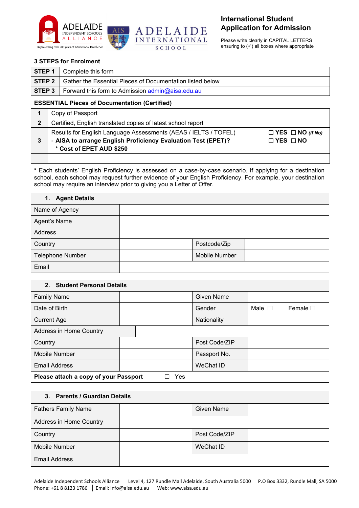



Please write clearly in CAPITAL LETTERS ensuring to  $(\checkmark)$  all boxes where appropriate

#### **3 STEPS for Enrolment**

|       | <b>STEP 1</b>   Complete this form                                        |
|-------|---------------------------------------------------------------------------|
|       | <b>STEP 2</b> Gather the Essential Pieces of Documentation listed below   |
| STEP3 | I Forward this form to Admission $\frac{1}{2}$ admin $\omega$ aisa.edu.au |

### **ESSENTIAL Pieces of Documentation (Certified)**

|   | Copy of Passport                                                                          |                              |
|---|-------------------------------------------------------------------------------------------|------------------------------|
| 2 | Certified, English translated copies of latest school report                              |                              |
|   | Results for English Language Assessments (AEAS / IELTS / TOFEL)                           | $\Box$ YES $\Box$ NO (if No) |
| 3 | - AISA to arrange English Proficiency Evaluation Test (EPET)?<br>* Cost of EPET AUD \$250 | $\Box$ YES $\Box$ NO         |
|   |                                                                                           |                              |

**\*** Each students' English Proficiency is assessed on a case-by-case scenario. If applying for a destination school, each school may request further evidence of your English Proficiency. For example, your destination school may require an interview prior to giving you a Letter of Offer.

| 1. Agent Details |               |  |
|------------------|---------------|--|
| Name of Agency   |               |  |
| Agent's Name     |               |  |
| Address          |               |  |
| Country          | Postcode/Zip  |  |
| Telephone Number | Mobile Number |  |
| Email            |               |  |

| 2. Student Personal Details                  |              |  |                   |                |                  |  |
|----------------------------------------------|--------------|--|-------------------|----------------|------------------|--|
| <b>Family Name</b>                           |              |  | <b>Given Name</b> |                |                  |  |
| Date of Birth                                |              |  | Gender            | Male $\square$ | Female $\square$ |  |
| <b>Current Age</b>                           |              |  | Nationality       |                |                  |  |
| Address in Home Country                      |              |  |                   |                |                  |  |
| Country                                      |              |  | Post Code/ZIP     |                |                  |  |
| <b>Mobile Number</b>                         | Passport No. |  |                   |                |                  |  |
| <b>Email Address</b><br>WeChat ID            |              |  |                   |                |                  |  |
| Please attach a copy of your Passport<br>Yes |              |  |                   |                |                  |  |

#### **3. Parents / Guardian Details**

| <b>Fathers Family Name</b> | <b>Given Name</b> |  |
|----------------------------|-------------------|--|
| Address in Home Country    |                   |  |
| Country                    | Post Code/ZIP     |  |
| Mobile Number              | WeChat ID         |  |
| <b>Email Address</b>       |                   |  |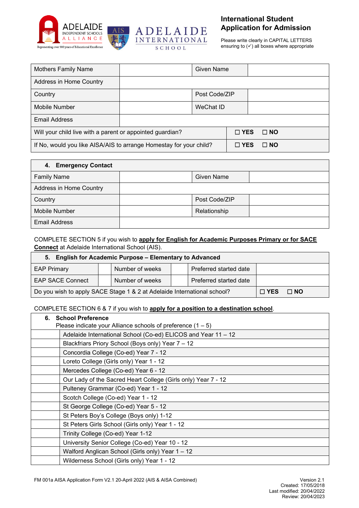



Please write clearly in CAPITAL LETTERS ensuring to  $(\checkmark)$  all boxes where appropriate

| <b>Mothers Family Name</b>                                         |  | <b>Given Name</b> |  |              |           |
|--------------------------------------------------------------------|--|-------------------|--|--------------|-----------|
| Address in Home Country                                            |  |                   |  |              |           |
| Country                                                            |  | Post Code/ZIP     |  |              |           |
| Mobile Number                                                      |  | WeChat ID         |  |              |           |
| <b>Email Address</b>                                               |  |                   |  |              |           |
| Will your child live with a parent or appointed guardian?          |  |                   |  | $\Box$ YES   | $\Box$ NO |
| If No, would you like AISA/AIS to arrange Homestay for your child? |  |                   |  | $\sqcap$ YES | $\Box$ NO |

| 4. Emergency Contact    |                   |  |
|-------------------------|-------------------|--|
| <b>Family Name</b>      | <b>Given Name</b> |  |
| Address in Home Country |                   |  |
| Country                 | Post Code/ZIP     |  |
| Mobile Number           | Relationship      |  |
| <b>Email Address</b>    |                   |  |

### COMPLETE SECTION 5 if you wish to **apply for English for Academic Purposes Primary or for SACE Connect** at Adelaide International School (AIS).

| 5. English for Academic Purpose - Elementary to Advanced                              |  |                 |  |                        |  |           |
|---------------------------------------------------------------------------------------|--|-----------------|--|------------------------|--|-----------|
| <b>EAP Primary</b>                                                                    |  | Number of weeks |  | Preferred started date |  |           |
| Number of weeks<br>Preferred started date<br><b>EAP SACE Connect</b>                  |  |                 |  |                        |  |           |
| Do you wish to apply SACE Stage 1 & 2 at Adelaide International school?<br>$\Box$ YES |  |                 |  |                        |  | $\Box$ NO |

### COMPLETE SECTION 6 & 7 if you wish to **apply for a position to a destination school**.

| <b>School Preference</b><br>6.                                |  |  |  |  |
|---------------------------------------------------------------|--|--|--|--|
| Please indicate your Alliance schools of preference $(1 - 5)$ |  |  |  |  |
| Adelaide International School (Co-ed) ELICOS and Year 11 - 12 |  |  |  |  |
| Blackfriars Priory School (Boys only) Year 7 - 12             |  |  |  |  |
| Concordia College (Co-ed) Year 7 - 12                         |  |  |  |  |
| Loreto College (Girls only) Year 1 - 12                       |  |  |  |  |
| Mercedes College (Co-ed) Year 6 - 12                          |  |  |  |  |
| Our Lady of the Sacred Heart College (Girls only) Year 7 - 12 |  |  |  |  |
| Pulteney Grammar (Co-ed) Year 1 - 12                          |  |  |  |  |
| Scotch College (Co-ed) Year 1 - 12                            |  |  |  |  |
| St George College (Co-ed) Year 5 - 12                         |  |  |  |  |
| St Peters Boy's College (Boys only) 1-12                      |  |  |  |  |
| St Peters Girls School (Girls only) Year 1 - 12               |  |  |  |  |
| Trinity College (Co-ed) Year 1-12                             |  |  |  |  |
| University Senior College (Co-ed) Year 10 - 12                |  |  |  |  |
| Walford Anglican School (Girls only) Year 1 - 12              |  |  |  |  |
| Wilderness School (Girls only) Year 1 - 12                    |  |  |  |  |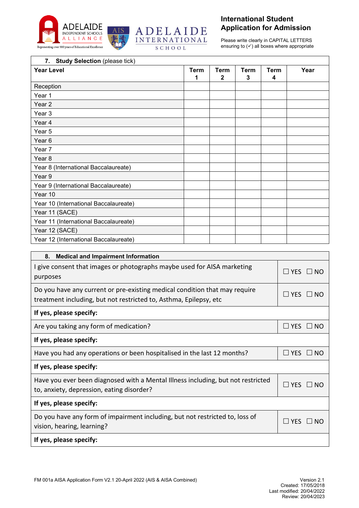



Please write clearly in CAPITAL LETTERS ensuring to  $(\checkmark)$  all boxes where appropriate

| <b>Study Selection (please tick)</b><br>7. |                  |                  |           |                  |      |
|--------------------------------------------|------------------|------------------|-----------|------------------|------|
| <b>Year Level</b>                          | <b>Term</b><br>1 | <b>Term</b><br>2 | Term<br>3 | <b>Term</b><br>4 | Year |
| Reception                                  |                  |                  |           |                  |      |
| Year 1                                     |                  |                  |           |                  |      |
| Year <sub>2</sub>                          |                  |                  |           |                  |      |
| Year 3                                     |                  |                  |           |                  |      |
| Year 4                                     |                  |                  |           |                  |      |
| Year 5                                     |                  |                  |           |                  |      |
| Year <sub>6</sub>                          |                  |                  |           |                  |      |
| Year 7                                     |                  |                  |           |                  |      |
| Year 8                                     |                  |                  |           |                  |      |
| Year 8 (International Baccalaureate)       |                  |                  |           |                  |      |
| Year 9                                     |                  |                  |           |                  |      |
| Year 9 (International Baccalaureate)       |                  |                  |           |                  |      |
| Year 10                                    |                  |                  |           |                  |      |
| Year 10 (International Baccalaureate)      |                  |                  |           |                  |      |
| Year 11 (SACE)                             |                  |                  |           |                  |      |
| Year 11 (International Baccalaureate)      |                  |                  |           |                  |      |
| Year 12 (SACE)                             |                  |                  |           |                  |      |
| Year 12 (International Baccalaureate)      |                  |                  |           |                  |      |

| I give consent that images or photographs maybe used for AISA marketing<br>$\Box$ Yes $\Box$ No<br>purposes<br>Do you have any current or pre-existing medical condition that may require<br>$\sqsupset$ YES $\sqsupset$<br>$\Box$ NO<br>treatment including, but not restricted to, Asthma, Epilepsy, etc<br>If yes, please specify:<br>Are you taking any form of medication?<br>$\Box$ YES $\Box$ NO<br>If yes, please specify:<br>Have you had any operations or been hospitalised in the last 12 months?<br>$\Box$ Yes $\Box$ No<br>If yes, please specify:<br>Have you ever been diagnosed with a Mental Illness including, but not restricted<br>$\Box$ Yes<br>$\Box$ NO<br>to, anxiety, depression, eating disorder?<br>If yes, please specify:<br>Do you have any form of impairment including, but not restricted to, loss of<br>$\sqsupset$ Yes<br>$\square$ NO<br>vision, hearing, learning?<br>If yes, please specify: | <b>Medical and Impairment Information</b><br>8. |  |
|-------------------------------------------------------------------------------------------------------------------------------------------------------------------------------------------------------------------------------------------------------------------------------------------------------------------------------------------------------------------------------------------------------------------------------------------------------------------------------------------------------------------------------------------------------------------------------------------------------------------------------------------------------------------------------------------------------------------------------------------------------------------------------------------------------------------------------------------------------------------------------------------------------------------------------------|-------------------------------------------------|--|
|                                                                                                                                                                                                                                                                                                                                                                                                                                                                                                                                                                                                                                                                                                                                                                                                                                                                                                                                     |                                                 |  |
|                                                                                                                                                                                                                                                                                                                                                                                                                                                                                                                                                                                                                                                                                                                                                                                                                                                                                                                                     |                                                 |  |
|                                                                                                                                                                                                                                                                                                                                                                                                                                                                                                                                                                                                                                                                                                                                                                                                                                                                                                                                     |                                                 |  |
|                                                                                                                                                                                                                                                                                                                                                                                                                                                                                                                                                                                                                                                                                                                                                                                                                                                                                                                                     |                                                 |  |
|                                                                                                                                                                                                                                                                                                                                                                                                                                                                                                                                                                                                                                                                                                                                                                                                                                                                                                                                     |                                                 |  |
|                                                                                                                                                                                                                                                                                                                                                                                                                                                                                                                                                                                                                                                                                                                                                                                                                                                                                                                                     |                                                 |  |
|                                                                                                                                                                                                                                                                                                                                                                                                                                                                                                                                                                                                                                                                                                                                                                                                                                                                                                                                     |                                                 |  |
|                                                                                                                                                                                                                                                                                                                                                                                                                                                                                                                                                                                                                                                                                                                                                                                                                                                                                                                                     |                                                 |  |
|                                                                                                                                                                                                                                                                                                                                                                                                                                                                                                                                                                                                                                                                                                                                                                                                                                                                                                                                     |                                                 |  |
|                                                                                                                                                                                                                                                                                                                                                                                                                                                                                                                                                                                                                                                                                                                                                                                                                                                                                                                                     |                                                 |  |
|                                                                                                                                                                                                                                                                                                                                                                                                                                                                                                                                                                                                                                                                                                                                                                                                                                                                                                                                     |                                                 |  |